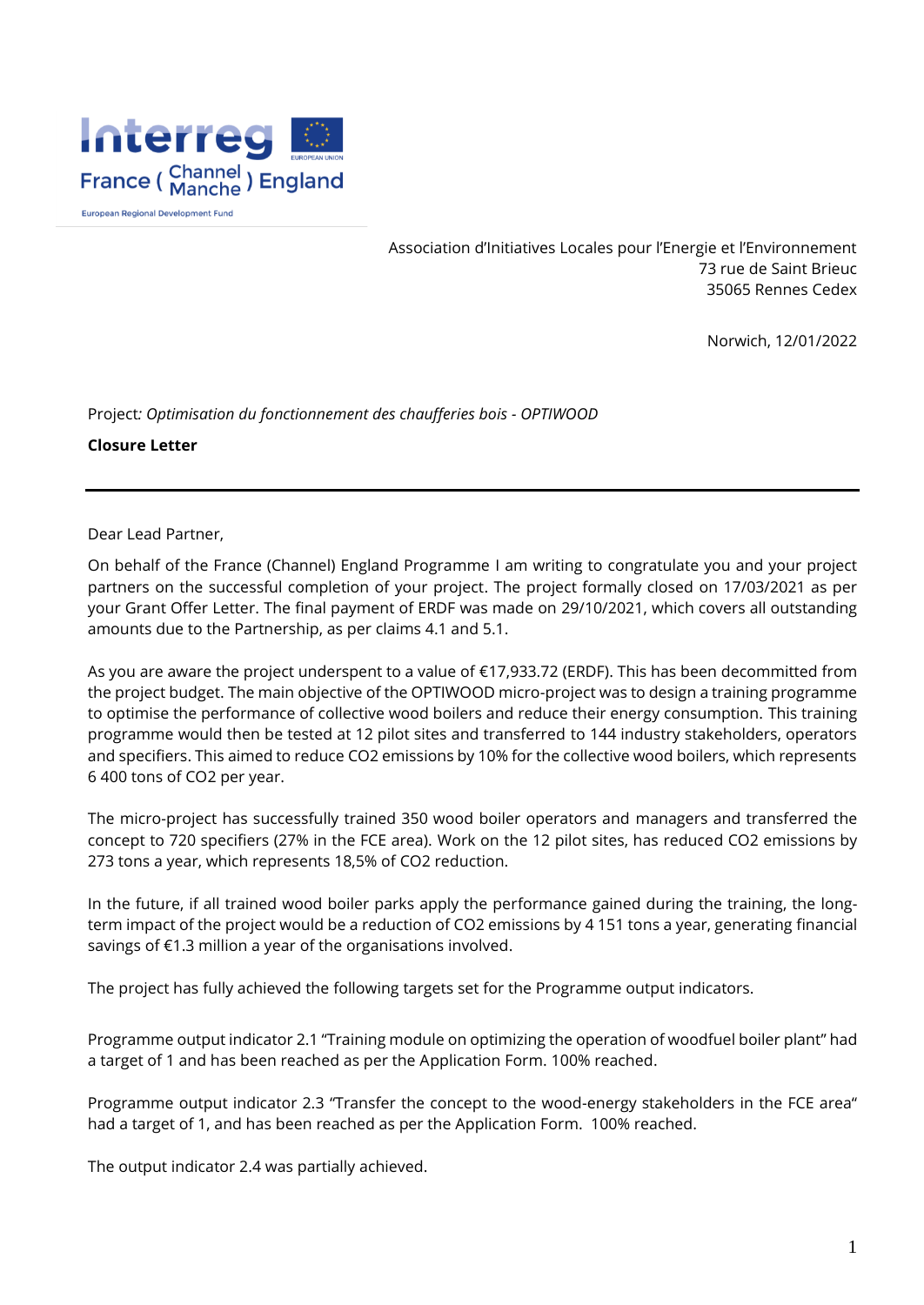

Association d'Initiatives Locales pour l'Energie et l'Environnement 73 rue de Saint Brieuc 35065 Rennes Cedex

Norwich, 12/01/2022

Project*: Optimisation du fonctionnement des chaufferies bois - OPTIWOOD*

**Closure Letter**

Dear Lead Partner,

On behalf of the France (Channel) England Programme I am writing to congratulate you and your project partners on the successful completion of your project. The project formally closed on 17/03/2021 as per your Grant Offer Letter. The final payment of ERDF was made on 29/10/2021, which covers all outstanding amounts due to the Partnership, as per claims 4.1 and 5.1.

As you are aware the project underspent to a value of €17,933.72 (ERDF). This has been decommitted from the project budget. The main objective of the OPTIWOOD micro-project was to design a training programme to optimise the performance of collective wood boilers and reduce their energy consumption. This training programme would then be tested at 12 pilot sites and transferred to 144 industry stakeholders, operators and specifiers. This aimed to reduce CO2 emissions by 10% for the collective wood boilers, which represents 6 400 tons of CO2 per year.

The micro-project has successfully trained 350 wood boiler operators and managers and transferred the concept to 720 specifiers (27% in the FCE area). Work on the 12 pilot sites, has reduced CO2 emissions by 273 tons a year, which represents 18,5% of CO2 reduction.

In the future, if all trained wood boiler parks apply the performance gained during the training, the longterm impact of the project would be a reduction of CO2 emissions by 4 151 tons a year, generating financial savings of €1.3 million a year of the organisations involved.

The project has fully achieved the following targets set for the Programme output indicators.

Programme output indicator 2.1 "Training module on optimizing the operation of woodfuel boiler plant" had a target of 1 and has been reached as per the Application Form. 100% reached.

Programme output indicator 2.3 "Transfer the concept to the wood-energy stakeholders in the FCE area" had a target of 1, and has been reached as per the Application Form. 100% reached.

The output indicator 2.4 was partially achieved.